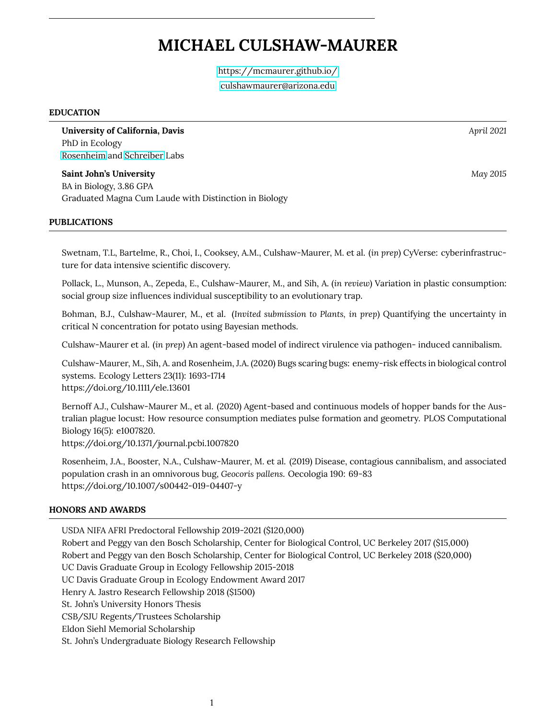# **MICHAEL CULSHAW-MAURER**

<https://mcmaurer.github.io/> [culshawmaurer@arizona.edu](mailto:culshawmaurer@arizona.edu)

### **EDUCATION**

**University of California, Davis** *April 2021* PhD in Ecology [Rosenheim](http://rosenheim.faculty.ucdavis.edu/) and [Schreiber](http://www.eve.ucdavis.edu/sschreiber/) Labs

**Saint John's University** *May 2015* BA in Biology, 3.86 GPA Graduated Magna Cum Laude with Distinction in Biology

### **PUBLICATIONS**

Swetnam, T.L, Bartelme, R., Choi, I., Cooksey, A.M., Culshaw-Maurer, M. et al. (*in prep*) CyVerse: cyberinfrastructure for data intensive scientific discovery.

Pollack, L., Munson, A., Zepeda, E., Culshaw-Maurer, M., and Sih, A. (*in review*) Variation in plastic consumption: social group size influences individual susceptibility to an evolutionary trap.

Bohman, B.J., Culshaw-Maurer, M., et al. (*Invited submission to Plants, in prep*) Quantifying the uncertainty in critical N concentration for potato using Bayesian methods.

Culshaw-Maurer et al. (*in prep*) An agent-based model of indirect virulence via pathogen- induced cannibalism.

Culshaw-Maurer, M., Sih, A. and Rosenheim, J.A. (2020) Bugs scaring bugs: enemy-risk effects in biological control systems. Ecology Letters 23(11): 1693-1714 https://doi.org/10.1111/ele.13601

Bernoff A.J., Culshaw-Maurer M., et al. (2020) Agent-based and continuous models of hopper bands for the Australian plague locust: How resource consumption mediates pulse formation and geometry. PLOS Computational Biology 16(5): e1007820.

https://doi.org/10.1371/journal.pcbi.1007820

Rosenheim, J.A., Booster, N.A., Culshaw-Maurer, M. et al. (2019) Disease, contagious cannibalism, and associated population crash in an omnivorous bug, *Geocoris pallens*. Oecologia 190: 69-83 https://doi.org/10.1007/s00442-019-04407-y

### **HONORS AND AWARDS**

USDA NIFA AFRI Predoctoral Fellowship 2019-2021 (\$120,000) Robert and Peggy van den Bosch Scholarship, Center for Biological Control, UC Berkeley 2017 (\$15,000) Robert and Peggy van den Bosch Scholarship, Center for Biological Control, UC Berkeley 2018 (\$20,000) UC Davis Graduate Group in Ecology Fellowship 2015-2018 UC Davis Graduate Group in Ecology Endowment Award 2017 Henry A. Jastro Research Fellowship 2018 (\$1500) St. John's University Honors Thesis CSB/SJU Regents/Trustees Scholarship Eldon Siehl Memorial Scholarship St. John's Undergraduate Biology Research Fellowship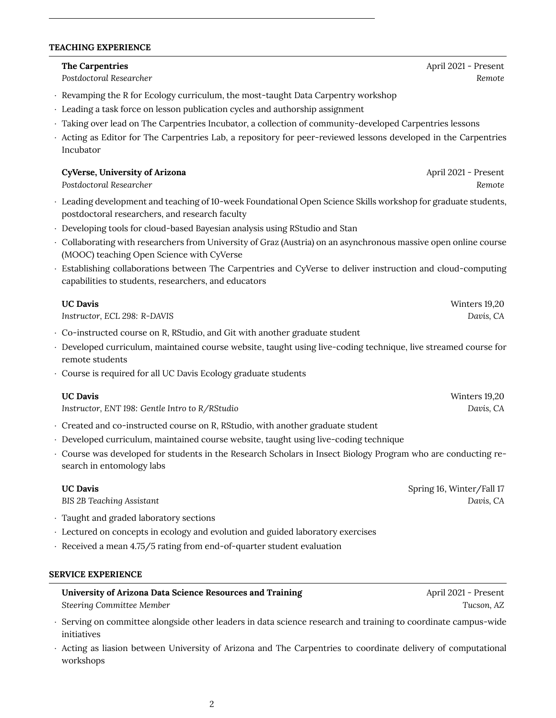### **TEACHING EXPERIENCE**

*Postdoctoral Researcher Remote*

- · Revamping the R for Ecology curriculum, the most-taught Data Carpentry workshop
- · Leading a task force on lesson publication cycles and authorship assignment
- · Taking over lead on The Carpentries Incubator, a collection of community-developed Carpentries lessons
- · Acting as Editor for The Carpentries Lab, a repository for peer-reviewed lessons developed in the Carpentries Incubator

### **CyVerse, University of Arizona April 2021** - Present

*Postdoctoral Researcher Remote*

- · Leading development and teaching of 10-week Foundational Open Science Skills workshop for graduate students, postdoctoral researchers, and research faculty
- · Developing tools for cloud-based Bayesian analysis using RStudio and Stan
- · Collaborating with researchers from University of Graz (Austria) on an asynchronous massive open online course (MOOC) teaching Open Science with CyVerse
- · Establishing collaborations between The Carpentries and CyVerse to deliver instruction and cloud-computing capabilities to students, researchers, and educators

| <b>UC Davis</b>              | Winters 19,20 |
|------------------------------|---------------|
| Instructor, ECL 298: R-DAVIS | Davis. CA     |

- · Co-instructed course on R, RStudio, and Git with another graduate student
- · Developed curriculum, maintained course website, taught using live-coding technique, live streamed course for remote students
- · Course is required for all UC Davis Ecology graduate students

## **UC Davis** Winters 19,20 *Instructor, ENT 198: Gentle Intro to R/RStudio Davis, CA*

- · Created and co-instructed course on R, RStudio, with another graduate student
- · Developed curriculum, maintained course website, taught using live-coding technique
- · Course was developed for students in the Research Scholars in Insect Biology Program who are conducting research in entomology labs

*BIS 2B Teaching Assistant Davis, CA*

- · Taught and graded laboratory sections
- · Lectured on concepts in ecology and evolution and guided laboratory exercises
- · Received a mean 4.75/5 rating from end-of-quarter student evaluation

### **SERVICE EXPERIENCE**

### **University of Arizona Data Science Resources and Training April 2021 - Present April 2021 - Present** *Steering Committee Member Tucson, AZ*

- · Serving on committee alongside other leaders in data science research and training to coordinate campus-wide initiatives
- · Acting as liasion between University of Arizona and The Carpentries to coordinate delivery of computational workshops

**The Carpentries** April 2021 - Present

**UC Davis** Spring 16, Winter/Fall 17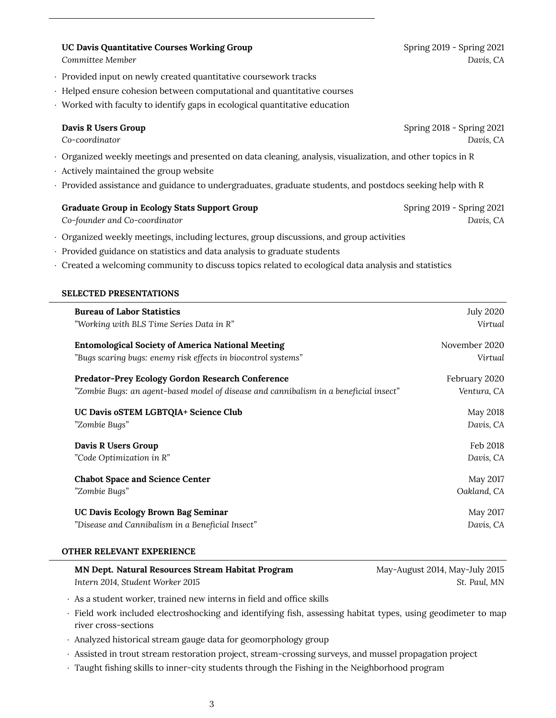| UC Davis Quantitative Courses Working Group<br>Committee Member                                                                                       | Spring 2019 - Spring 2021<br>Davis, CA |
|-------------------------------------------------------------------------------------------------------------------------------------------------------|----------------------------------------|
| · Provided input on newly created quantitative coursework tracks                                                                                      |                                        |
| · Helped ensure cohesion between computational and quantitative courses                                                                               |                                        |
| · Worked with faculty to identify gaps in ecological quantitative education                                                                           |                                        |
| Davis R Users Group<br>Co-coordinator                                                                                                                 | Spring 2018 - Spring 2021<br>Davis, CA |
| · Organized weekly meetings and presented on data cleaning, analysis, visualization, and other topics in R<br>· Actively maintained the group website |                                        |
| · Provided assistance and guidance to undergraduates, graduate students, and postdocs seeking help with R                                             |                                        |
| <b>Graduate Group in Ecology Stats Support Group</b><br>Co-founder and Co-coordinator                                                                 | Spring 2019 - Spring 2021<br>Davis, CA |
| Organized weekly meetings, including lectures, group discussions, and group activities                                                                |                                        |
| · Provided guidance on statistics and data analysis to graduate students                                                                              |                                        |
| Created a welcoming community to discuss topics related to ecological data analysis and statistics                                                    |                                        |
| <b>SELECTED PRESENTATIONS</b>                                                                                                                         |                                        |
| <b>Bureau of Labor Statistics</b>                                                                                                                     | <b>July 2020</b>                       |
| "Working with BLS Time Series Data in R"                                                                                                              | Virtual                                |
| <b>Entomological Society of America National Meeting</b>                                                                                              | November 2020                          |
| "Bugs scaring bugs: enemy risk effects in biocontrol systems"                                                                                         | Virtual                                |
| Predator-Prey Ecology Gordon Research Conference                                                                                                      | February 2020                          |
| "Zombie Bugs: an agent-based model of disease and cannibalism in a beneficial insect"                                                                 | Ventura, CA                            |
| UC Davis oSTEM LGBTQIA+ Science Club                                                                                                                  | May 2018                               |
| "Zombie Bugs"                                                                                                                                         | Davis, CA                              |
| Davis R Users Group                                                                                                                                   | Feb 2018                               |
| "Code Optimization in R"                                                                                                                              | Davis, CA                              |

**Chabot Space and Science Center** May 2017 *"Zombie Bugs" Oakland, CA*

**UC Davis Ecology Brown Bag Seminar May 2017** *"Disease and Cannibalism in a Beneficial Insect" Davis, CA*

### **OTHER RELEVANT EXPERIENCE**

| MN Dept. Natural Resources Stream Habitat Program | May-August 2014, May-July 2015 |
|---------------------------------------------------|--------------------------------|
| Intern 2014, Student Worker 2015                  | St. Paul, MN                   |

- · As a student worker, trained new interns in field and office skills
- · Field work included electroshocking and identifying fish, assessing habitat types, using geodimeter to map river cross-sections
- · Analyzed historical stream gauge data for geomorphology group
- · Assisted in trout stream restoration project, stream-crossing surveys, and mussel propagation project
- · Taught fishing skills to inner-city students through the Fishing in the Neighborhood program